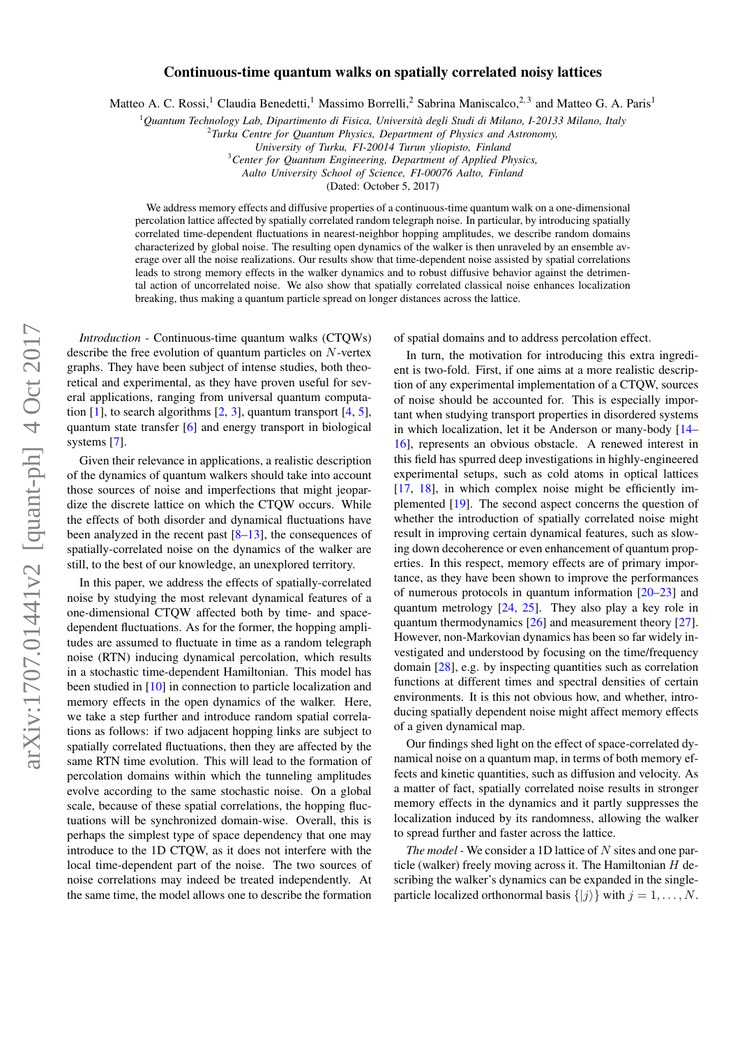## arXiv:1707.01441v2 [quant-ph] 4 Oct 2017 arXiv:1707.01441v2 [quant-ph] 4 Oct 2017

## Continuous-time quantum walks on spatially correlated noisy lattices

Matteo A. C. Rossi,<sup>1</sup> Claudia Benedetti,<sup>1</sup> Massimo Borrelli,<sup>2</sup> Sabrina Maniscalco,<sup>2,3</sup> and Matteo G. A. Paris<sup>1</sup>

<sup>1</sup>*Quantum Technology Lab, Dipartimento di Fisica, Università degli Studi di Milano, I-20133 Milano, Italy*

*University of Turku, FI-20014 Turun yliopisto, Finland*

<sup>3</sup>*Center for Quantum Engineering, Department of Applied Physics,*

*Aalto University School of Science, FI-00076 Aalto, Finland*

(Dated: October 5, 2017)

We address memory effects and diffusive properties of a continuous-time quantum walk on a one-dimensional percolation lattice affected by spatially correlated random telegraph noise. In particular, by introducing spatially correlated time-dependent fluctuations in nearest-neighbor hopping amplitudes, we describe random domains characterized by global noise. The resulting open dynamics of the walker is then unraveled by an ensemble average over all the noise realizations. Our results show that time-dependent noise assisted by spatial correlations leads to strong memory effects in the walker dynamics and to robust diffusive behavior against the detrimental action of uncorrelated noise. We also show that spatially correlated classical noise enhances localization breaking, thus making a quantum particle spread on longer distances across the lattice.

*Introduction -* Continuous-time quantum walks (CTQWs) describe the free evolution of quantum particles on N-vertex graphs. They have been subject of intense studies, both theoretical and experimental, as they have proven useful for several applications, ranging from universal quantum computa-tion [\[1\]](#page-4-0), to search algorithms  $[2, 3]$  $[2, 3]$  $[2, 3]$ , quantum transport  $[4, 5]$  $[4, 5]$  $[4, 5]$ , quantum state transfer [\[6\]](#page-4-5) and energy transport in biological systems [\[7\]](#page-4-6).

Given their relevance in applications, a realistic description of the dynamics of quantum walkers should take into account those sources of noise and imperfections that might jeopardize the discrete lattice on which the CTQW occurs. While the effects of both disorder and dynamical fluctuations have been analyzed in the recent past [\[8](#page-4-7)[–13\]](#page-4-8), the consequences of spatially-correlated noise on the dynamics of the walker are still, to the best of our knowledge, an unexplored territory.

In this paper, we address the effects of spatially-correlated noise by studying the most relevant dynamical features of a one-dimensional CTQW affected both by time- and spacedependent fluctuations. As for the former, the hopping amplitudes are assumed to fluctuate in time as a random telegraph noise (RTN) inducing dynamical percolation, which results in a stochastic time-dependent Hamiltonian. This model has been studied in [\[10\]](#page-4-9) in connection to particle localization and memory effects in the open dynamics of the walker. Here, we take a step further and introduce random spatial correlations as follows: if two adjacent hopping links are subject to spatially correlated fluctuations, then they are affected by the same RTN time evolution. This will lead to the formation of percolation domains within which the tunneling amplitudes evolve according to the same stochastic noise. On a global scale, because of these spatial correlations, the hopping fluctuations will be synchronized domain-wise. Overall, this is perhaps the simplest type of space dependency that one may introduce to the 1D CTQW, as it does not interfere with the local time-dependent part of the noise. The two sources of noise correlations may indeed be treated independently. At the same time, the model allows one to describe the formation of spatial domains and to address percolation effect.

In turn, the motivation for introducing this extra ingredient is two-fold. First, if one aims at a more realistic description of any experimental implementation of a CTQW, sources of noise should be accounted for. This is especially important when studying transport properties in disordered systems in which localization, let it be Anderson or many-body [\[14–](#page-4-10) [16\]](#page-4-11), represents an obvious obstacle. A renewed interest in this field has spurred deep investigations in highly-engineered experimental setups, such as cold atoms in optical lattices [\[17,](#page-4-12) [18\]](#page-4-13), in which complex noise might be efficiently implemented [\[19\]](#page-4-14). The second aspect concerns the question of whether the introduction of spatially correlated noise might result in improving certain dynamical features, such as slowing down decoherence or even enhancement of quantum properties. In this respect, memory effects are of primary importance, as they have been shown to improve the performances of numerous protocols in quantum information [\[20–](#page-4-15)[23\]](#page-4-16) and quantum metrology [\[24,](#page-4-17) [25\]](#page-4-18). They also play a key role in quantum thermodynamics [\[26\]](#page-4-19) and measurement theory [\[27\]](#page-4-20). However, non-Markovian dynamics has been so far widely investigated and understood by focusing on the time/frequency domain [\[28\]](#page-4-21), e.g. by inspecting quantities such as correlation functions at different times and spectral densities of certain environments. It is this not obvious how, and whether, introducing spatially dependent noise might affect memory effects of a given dynamical map.

Our findings shed light on the effect of space-correlated dynamical noise on a quantum map, in terms of both memory effects and kinetic quantities, such as diffusion and velocity. As a matter of fact, spatially correlated noise results in stronger memory effects in the dynamics and it partly suppresses the localization induced by its randomness, allowing the walker to spread further and faster across the lattice.

*The model* - We consider a 1D lattice of N sites and one particle (walker) freely moving across it. The Hamiltonian  $H$  describing the walker's dynamics can be expanded in the singleparticle localized orthonormal basis  $\{|j\rangle\}$  with  $j = 1, \ldots, N$ .

<sup>2</sup> *Turku Centre for Quantum Physics, Department of Physics and Astronomy,*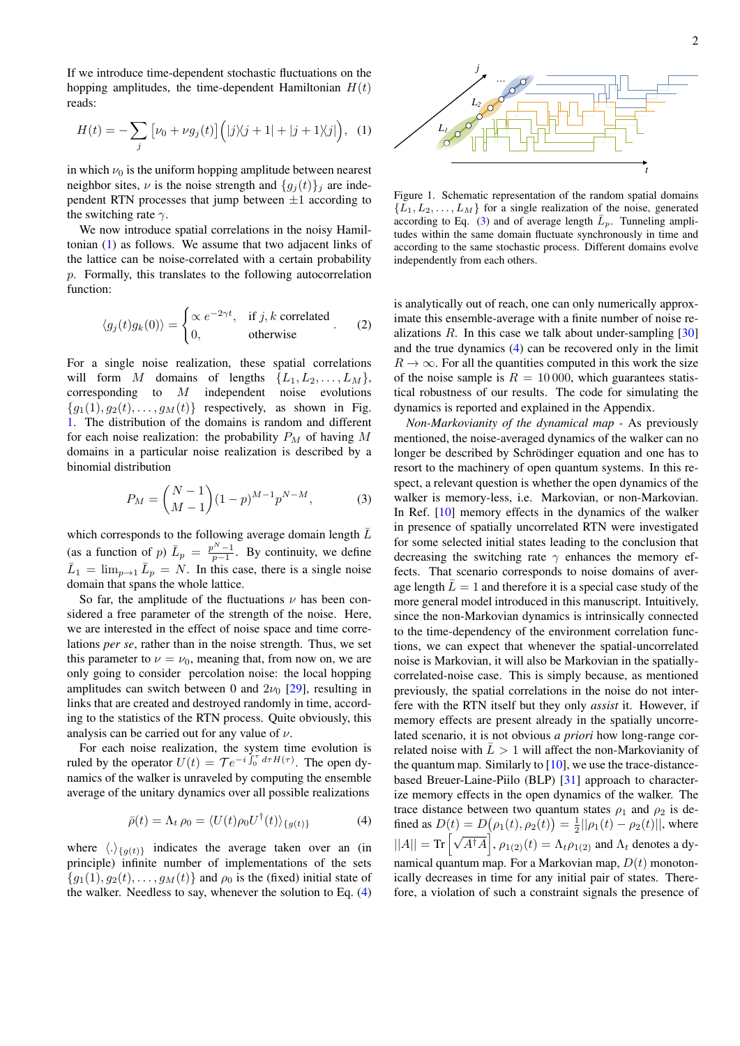If we introduce time-dependent stochastic fluctuations on the hopping amplitudes, the time-dependent Hamiltonian  $H(t)$ reads:

<span id="page-1-0"></span>
$$
H(t) = -\sum_{j} \left[ \nu_0 + \nu g_j(t) \right] \left( |j\rangle\langle j+1| + |j+1\rangle\langle j| \right), \tag{1}
$$

in which  $\nu_0$  is the uniform hopping amplitude between nearest neighbor sites,  $\nu$  is the noise strength and  $\{g_i(t)\}\$ i are independent RTN processes that jump between  $\pm 1$  according to the switching rate  $\gamma$ .

We now introduce spatial correlations in the noisy Hamiltonian [\(1\)](#page-1-0) as follows. We assume that two adjacent links of the lattice can be noise-correlated with a certain probability p. Formally, this translates to the following autocorrelation function:

$$
\langle g_j(t)g_k(0)\rangle = \begin{cases} \propto e^{-2\gamma t}, & \text{if } j, k \text{ correlated} \\ 0, & \text{otherwise} \end{cases} . \tag{2}
$$

For a single noise realization, these spatial correlations will form M domains of lengths  $\{L_1, L_2, \ldots, L_M\}$ , corresponding to M independent noise evolutions  ${g_1(1), g_2(t), \ldots, g_M(t)}$  respectively, as shown in Fig. [1.](#page-1-1) The distribution of the domains is random and different for each noise realization: the probability  $P_M$  of having M domains in a particular noise realization is described by a binomial distribution

<span id="page-1-3"></span>
$$
P_M = \binom{N-1}{M-1} (1-p)^{M-1} p^{N-M},\tag{3}
$$

which corresponds to the following average domain length  $\bar{L}$ (as a function of p)  $\bar{L}_p = \frac{p^N - 1}{p - 1}$ . By continuity, we define  $\bar{L}_1 = \lim_{p \to 1} \bar{L}_p = N$ . In this case, there is a single noise domain that spans the whole lattice.

So far, the amplitude of the fluctuations  $\nu$  has been considered a free parameter of the strength of the noise. Here, we are interested in the effect of noise space and time correlations *per se*, rather than in the noise strength. Thus, we set this parameter to  $\nu = \nu_0$ , meaning that, from now on, we are only going to consider percolation noise: the local hopping amplitudes can switch between 0 and  $2\nu_0$  [\[29\]](#page-4-22), resulting in links that are created and destroyed randomly in time, according to the statistics of the RTN process. Quite obviously, this analysis can be carried out for any value of  $\nu$ .

For each noise realization, the system time evolution is ruled by the operator  $U(t) = \mathcal{T} e^{-i \int_0^{\tau} d\tau H(\tau)}$ . The open dynamics of the walker is unraveled by computing the ensemble average of the unitary dynamics over all possible realizations

<span id="page-1-2"></span>
$$
\bar{\rho}(t) = \Lambda_t \, \rho_0 = \langle U(t) \rho_0 U^{\dagger}(t) \rangle_{\{g(t)\}} \tag{4}
$$

where  $\langle . \rangle_{\{q(t)\}}$  indicates the average taken over an (in principle) infinite number of implementations of the sets  ${g_1(1), g_2(t), \ldots, g_M(t)}$  and  $\rho_0$  is the (fixed) initial state of the walker. Needless to say, whenever the solution to Eq. [\(4\)](#page-1-2)



<span id="page-1-1"></span>Figure 1. Schematic representation of the random spatial domains  ${L_1, L_2, \ldots, L_M}$  for a single realization of the noise, generated according to Eq. [\(3\)](#page-1-3) and of average length  $\bar{L}_p$ . Tunneling amplitudes within the same domain fluctuate synchronously in time and according to the same stochastic process. Different domains evolve independently from each others.

is analytically out of reach, one can only numerically approximate this ensemble-average with a finite number of noise realizations  $R$ . In this case we talk about under-sampling  $[30]$ and the true dynamics [\(4\)](#page-1-2) can be recovered only in the limit  $R \to \infty$ . For all the quantities computed in this work the size of the noise sample is  $R = 10000$ , which guarantees statistical robustness of our results. The code for simulating the dynamics is reported and explained in the Appendix.

*Non-Markovianity of the dynamical map -* As previously mentioned, the noise-averaged dynamics of the walker can no longer be described by Schrödinger equation and one has to resort to the machinery of open quantum systems. In this respect, a relevant question is whether the open dynamics of the walker is memory-less, i.e. Markovian, or non-Markovian. In Ref. [\[10\]](#page-4-9) memory effects in the dynamics of the walker in presence of spatially uncorrelated RTN were investigated for some selected initial states leading to the conclusion that decreasing the switching rate  $\gamma$  enhances the memory effects. That scenario corresponds to noise domains of average length  $L = 1$  and therefore it is a special case study of the more general model introduced in this manuscript. Intuitively, since the non-Markovian dynamics is intrinsically connected to the time-dependency of the environment correlation functions, we can expect that whenever the spatial-uncorrelated noise is Markovian, it will also be Markovian in the spatiallycorrelated-noise case. This is simply because, as mentioned previously, the spatial correlations in the noise do not interfere with the RTN itself but they only *assist* it. However, if memory effects are present already in the spatially uncorrelated scenario, it is not obvious *a priori* how long-range correlated noise with  $\bar{L} > 1$  will affect the non-Markovianity of the quantum map. Similarly to  $[10]$ , we use the trace-distancebased Breuer-Laine-Piilo (BLP) [\[31\]](#page-5-0) approach to characterize memory effects in the open dynamics of the walker. The trace distance between two quantum states  $\rho_1$  and  $\rho_2$  is defined as  $D(t) = D(\rho_1(t), \rho_2(t)) = \frac{1}{2} ||\rho_1(t) - \rho_2(t)||$ , where  $||A|| = \text{Tr} \left[ \sqrt{A^{\dagger}A} \right], \rho_{1(2)}(t) = \Lambda_t \rho_{1(2)}$  and  $\Lambda_t$  denotes a dynamical quantum map. For a Markovian map,  $D(t)$  monotonically decreases in time for any initial pair of states. Therefore, a violation of such a constraint signals the presence of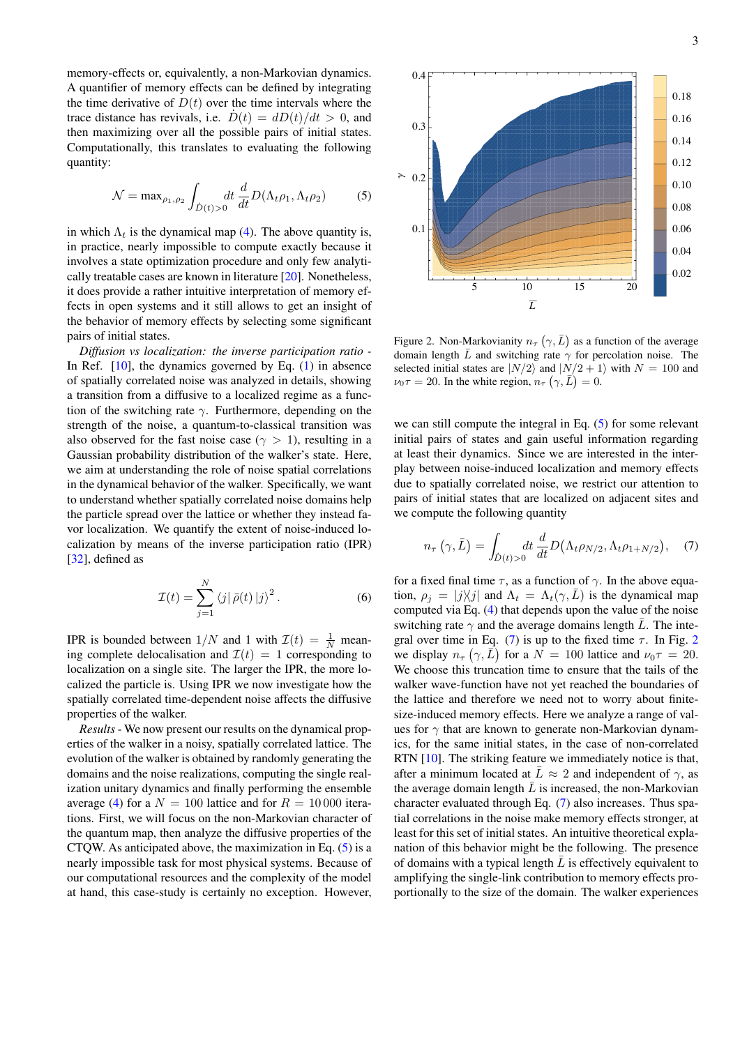memory-effects or, equivalently, a non-Markovian dynamics. A quantifier of memory effects can be defined by integrating the time derivative of  $D(t)$  over the time intervals where the trace distance has revivals, i.e.  $D(t) = dD(t)/dt > 0$ , and then maximizing over all the possible pairs of initial states. Computationally, this translates to evaluating the following quantity:

<span id="page-2-0"></span>
$$
\mathcal{N} = \max_{\rho_1, \rho_2} \int_{\dot{D}(t) > 0} dt \, \frac{d}{dt} D(\Lambda_t \rho_1, \Lambda_t \rho_2) \tag{5}
$$

in which  $\Lambda_t$  is the dynamical map [\(4\)](#page-1-2). The above quantity is, in practice, nearly impossible to compute exactly because it involves a state optimization procedure and only few analytically treatable cases are known in literature [\[20\]](#page-4-15). Nonetheless, it does provide a rather intuitive interpretation of memory effects in open systems and it still allows to get an insight of the behavior of memory effects by selecting some significant pairs of initial states.

*Diffusion vs localization: the inverse participation ratio -* In Ref. [\[10\]](#page-4-9), the dynamics governed by Eq. [\(1\)](#page-1-0) in absence of spatially correlated noise was analyzed in details, showing a transition from a diffusive to a localized regime as a function of the switching rate  $\gamma$ . Furthermore, depending on the strength of the noise, a quantum-to-classical transition was also observed for the fast noise case ( $\gamma > 1$ ), resulting in a Gaussian probability distribution of the walker's state. Here, we aim at understanding the role of noise spatial correlations in the dynamical behavior of the walker. Specifically, we want to understand whether spatially correlated noise domains help the particle spread over the lattice or whether they instead favor localization. We quantify the extent of noise-induced localization by means of the inverse participation ratio (IPR) [\[32\]](#page-5-1), defined as

$$
\mathcal{I}(t) = \sum_{j=1}^{N} \langle j | \bar{\rho}(t) | j \rangle^{2}.
$$
 (6)

IPR is bounded between  $1/N$  and 1 with  $\mathcal{I}(t) = \frac{1}{N}$  meaning complete delocalisation and  $\mathcal{I}(t) = 1$  corresponding to localization on a single site. The larger the IPR, the more localized the particle is. Using IPR we now investigate how the spatially correlated time-dependent noise affects the diffusive properties of the walker.

*Results* - We now present our results on the dynamical properties of the walker in a noisy, spatially correlated lattice. The evolution of the walker is obtained by randomly generating the domains and the noise realizations, computing the single realization unitary dynamics and finally performing the ensemble average [\(4\)](#page-1-2) for a  $N = 100$  lattice and for  $R = 10000$  iterations. First, we will focus on the non-Markovian character of the quantum map, then analyze the diffusive properties of the CTQW. As anticipated above, the maximization in Eq.  $(5)$  is a nearly impossible task for most physical systems. Because of our computational resources and the complexity of the model at hand, this case-study is certainly no exception. However,



<span id="page-2-2"></span>Figure 2. Non-Markovianity  $n_{\tau}$  ( $\gamma$ ,  $\bar{L}$ ) as a function of the average domain length  $\overline{L}$  and switching rate  $\gamma$  for percolation noise. The selected initial states are  $|N/2\rangle$  and  $|N/2+1\rangle$  with  $N = 100$  and  $\nu_0 \tau = 20$ . In the white region,  $n_\tau (\gamma, \vec{L}) = 0$ .

 $\overline{L}$ 

γ

we can still compute the integral in Eq. [\(5\)](#page-2-0) for some relevant initial pairs of states and gain useful information regarding at least their dynamics. Since we are interested in the interplay between noise-induced localization and memory effects due to spatially correlated noise, we restrict our attention to pairs of initial states that are localized on adjacent sites and we compute the following quantity

<span id="page-2-1"></span>
$$
n_{\tau}\left(\gamma,\bar{L}\right) = \int_{\dot{D}(t)>0} dt \frac{d}{dt} D\big(\Lambda_t \rho_{N/2}, \Lambda_t \rho_{1+N/2}\big), \quad (7)
$$

for a fixed final time  $\tau$ , as a function of  $\gamma$ . In the above equation,  $\rho_j = |j\rangle\langle j|$  and  $\Lambda_t = \Lambda_t(\gamma, \bar{L})$  is the dynamical map computed via Eq. [\(4\)](#page-1-2) that depends upon the value of the noise switching rate  $\gamma$  and the average domains length  $\overline{L}$ . The inte-gral over time in Eq. [\(7\)](#page-2-1) is up to the fixed time  $\tau$ . In Fig. [2](#page-2-2) we display  $n_{\tau}$   $(\gamma, \overline{L})$  for a  $N = 100$  lattice and  $\nu_0 \tau = 20$ . We choose this truncation time to ensure that the tails of the walker wave-function have not yet reached the boundaries of the lattice and therefore we need not to worry about finitesize-induced memory effects. Here we analyze a range of values for  $\gamma$  that are known to generate non-Markovian dynamics, for the same initial states, in the case of non-correlated RTN [\[10\]](#page-4-9). The striking feature we immediately notice is that, after a minimum located at  $\overline{L} \approx 2$  and independent of  $\gamma$ , as the average domain length  $\overline{L}$  is increased, the non-Markovian character evaluated through Eq. [\(7\)](#page-2-1) also increases. Thus spatial correlations in the noise make memory effects stronger, at least for this set of initial states. An intuitive theoretical explanation of this behavior might be the following. The presence of domains with a typical length  $\overline{L}$  is effectively equivalent to amplifying the single-link contribution to memory effects proportionally to the size of the domain. The walker experiences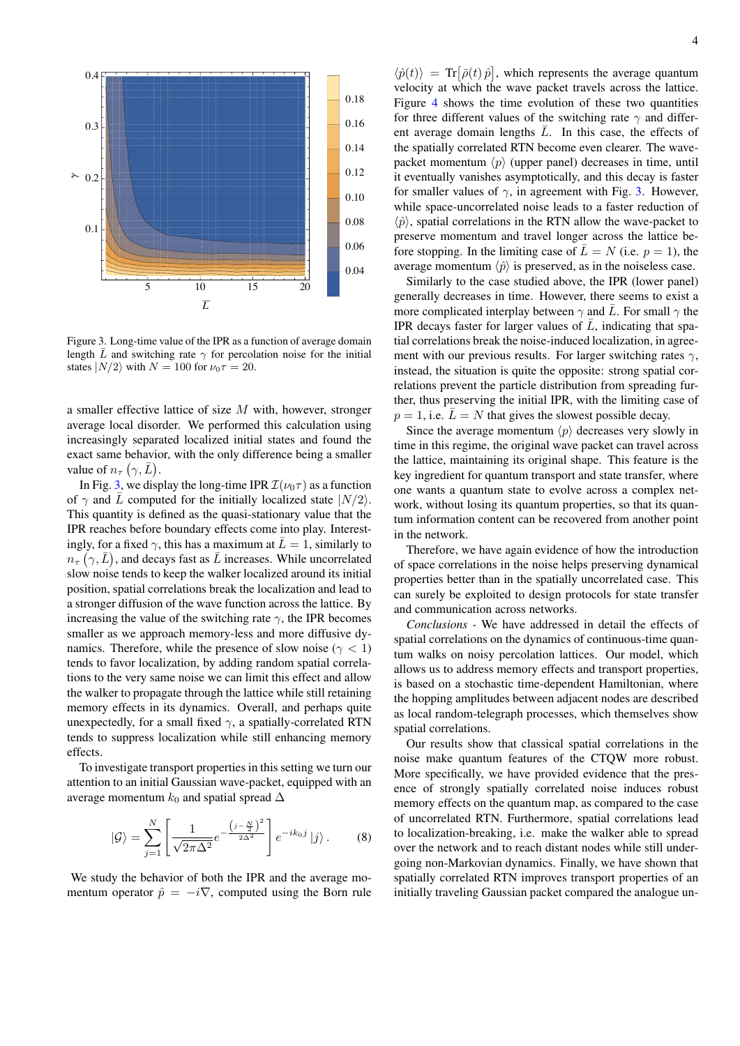

<span id="page-3-0"></span>Figure 3. Long-time value of the IPR as a function of average domain length  $\bar{L}$  and switching rate  $\gamma$  for percolation noise for the initial states  $|N/2\rangle$  with  $N = 100$  for  $\nu_0 \tau = 20$ .

a smaller effective lattice of size M with, however, stronger average local disorder. We performed this calculation using increasingly separated localized initial states and found the exact same behavior, with the only difference being a smaller value of  $n_{\tau}$   $(\gamma, \bar{L})$ .

In Fig. [3,](#page-3-0) we display the long-time IPR  $\mathcal{I}(\nu_0\tau)$  as a function of  $\gamma$  and  $\overline{L}$  computed for the initially localized state  $|N/2\rangle$ . This quantity is defined as the quasi-stationary value that the IPR reaches before boundary effects come into play. Interestingly, for a fixed  $\gamma$ , this has a maximum at  $\overline{L} = 1$ , similarly to  $n_{\tau}(\gamma,\bar{L})$ , and decays fast as  $\bar{L}$  increases. While uncorrelated slow noise tends to keep the walker localized around its initial position, spatial correlations break the localization and lead to a stronger diffusion of the wave function across the lattice. By increasing the value of the switching rate  $\gamma$ , the IPR becomes smaller as we approach memory-less and more diffusive dynamics. Therefore, while the presence of slow noise ( $\gamma$  < 1) tends to favor localization, by adding random spatial correlations to the very same noise we can limit this effect and allow the walker to propagate through the lattice while still retaining memory effects in its dynamics. Overall, and perhaps quite unexpectedly, for a small fixed  $\gamma$ , a spatially-correlated RTN tends to suppress localization while still enhancing memory effects.

To investigate transport properties in this setting we turn our attention to an initial Gaussian wave-packet, equipped with an average momentum  $k_0$  and spatial spread  $\Delta$ 

<span id="page-3-1"></span>
$$
|\mathcal{G}\rangle = \sum_{j=1}^{N} \left[ \frac{1}{\sqrt{2\pi\Delta^2}} e^{-\frac{\left(j - \frac{N}{2}\right)^2}{2\Delta^2}} \right] e^{-ik_0 j} |j\rangle. \tag{8}
$$

We study the behavior of both the IPR and the average momentum operator  $\hat{p} = -i\nabla$ , computed using the Born rule

 $\langle \hat{p}(t) \rangle = \text{Tr} [\bar{\rho}(t) \hat{p}]$ , which represents the average quantum velocity at which the wave packet travels across the lattice. Figure [4](#page-4-24) shows the time evolution of these two quantities for three different values of the switching rate  $\gamma$  and different average domain lengths  $\overline{L}$ . In this case, the effects of the spatially correlated RTN become even clearer. The wavepacket momentum  $\langle p \rangle$  (upper panel) decreases in time, until it eventually vanishes asymptotically, and this decay is faster for smaller values of  $\gamma$ , in agreement with Fig. [3.](#page-3-0) However, while space-uncorrelated noise leads to a faster reduction of  $\langle \hat{p} \rangle$ , spatial correlations in the RTN allow the wave-packet to preserve momentum and travel longer across the lattice before stopping. In the limiting case of  $\bar{L} = N$  (i.e.  $p = 1$ ), the average momentum  $\langle \hat{p} \rangle$  is preserved, as in the noiseless case.

Similarly to the case studied above, the IPR (lower panel) generally decreases in time. However, there seems to exist a more complicated interplay between  $\gamma$  and  $\overline{L}$ . For small  $\gamma$  the IPR decays faster for larger values of  $\overline{L}$ , indicating that spatial correlations break the noise-induced localization, in agreement with our previous results. For larger switching rates  $\gamma$ , instead, the situation is quite the opposite: strong spatial correlations prevent the particle distribution from spreading further, thus preserving the initial IPR, with the limiting case of  $p = 1$ , i.e.  $\overline{L} = N$  that gives the slowest possible decay.

Since the average momentum  $\langle p \rangle$  decreases very slowly in time in this regime, the original wave packet can travel across the lattice, maintaining its original shape. This feature is the key ingredient for quantum transport and state transfer, where one wants a quantum state to evolve across a complex network, without losing its quantum properties, so that its quantum information content can be recovered from another point in the network.

Therefore, we have again evidence of how the introduction of space correlations in the noise helps preserving dynamical properties better than in the spatially uncorrelated case. This can surely be exploited to design protocols for state transfer and communication across networks.

*Conclusions -* We have addressed in detail the effects of spatial correlations on the dynamics of continuous-time quantum walks on noisy percolation lattices. Our model, which allows us to address memory effects and transport properties, is based on a stochastic time-dependent Hamiltonian, where the hopping amplitudes between adjacent nodes are described as local random-telegraph processes, which themselves show spatial correlations.

Our results show that classical spatial correlations in the noise make quantum features of the CTQW more robust. More specifically, we have provided evidence that the presence of strongly spatially correlated noise induces robust memory effects on the quantum map, as compared to the case of uncorrelated RTN. Furthermore, spatial correlations lead to localization-breaking, i.e. make the walker able to spread over the network and to reach distant nodes while still undergoing non-Markovian dynamics. Finally, we have shown that spatially correlated RTN improves transport properties of an initially traveling Gaussian packet compared the analogue un-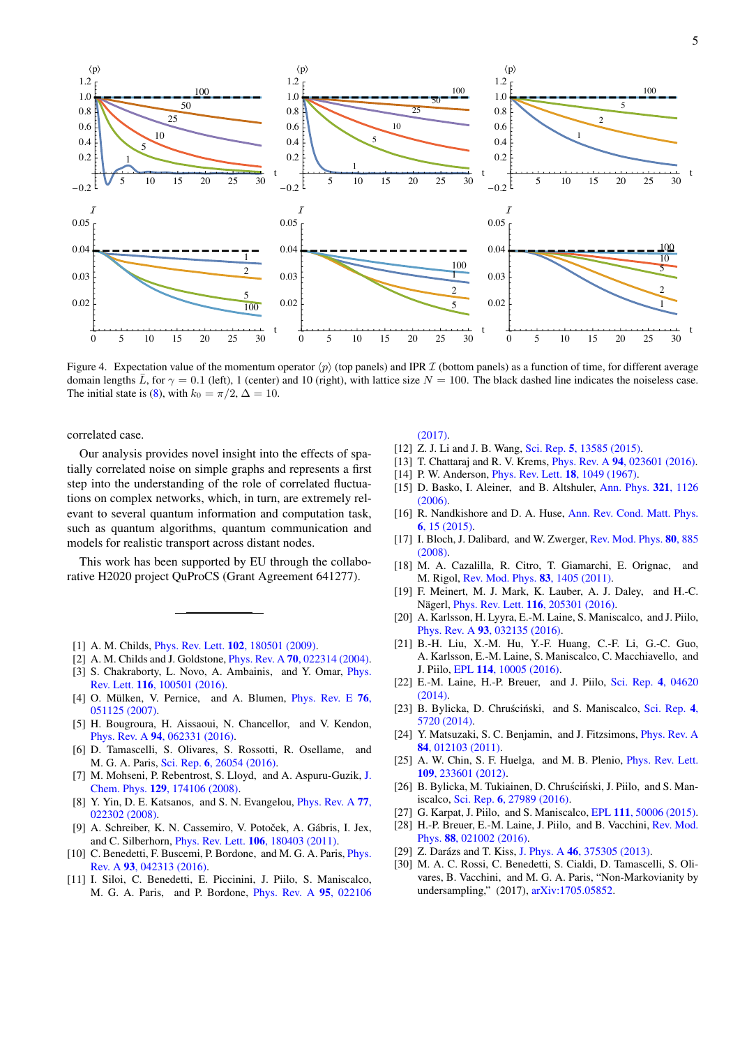

<span id="page-4-24"></span>Figure 4. Expectation value of the momentum operator  $\langle p \rangle$  (top panels) and IPR  $\mathcal I$  (bottom panels) as a function of time, for different average domain lengths  $\bar{L}$ , for  $\gamma = 0.1$  (left), 1 (center) and 10 (right), with lattice size  $N = 100$ . The black dashed line indicates the noiseless case. The initial state is (8), with  $k_0 = \pi/2$ ,  $\Delta = 10$ .

correlated case.

Our analysis provides novel insight into the effects of spatially correlated noise on simple graphs and represents a first step into the understanding of the role of correlated fluctuations on complex networks, which, in turn, are extremely relevant to several quantum information and computation task, such as quantum algorithms, quantum communication and models for realistic transport across distant nodes.

This work has been supported by EU through the collaborative H2020 project QuProCS (Grant Agreement 641277).

- <span id="page-4-0"></span>[1] A. M. Childs, *Phys. Rev. Lett.* **102.** 180501 (2009).
- <span id="page-4-1"></span>[2] A. M. Childs and J. Goldstone, *Phys. Rev. A* **70**, 022314 (2004).
- <span id="page-4-2"></span>[3] S. Chakraborty, L. Novo, A. Ambainis, and Y. Omar, Phys. Rev. Lett. 116, 100501 (2016).
- <span id="page-4-3"></span> $[4]$ O. Mülken, V. Pernice, and A. Blumen, *Phys. Rev. E* 76, 051125 (2007).
- <span id="page-4-4"></span>[5] H. Bougroura, H. Aissaoui, N. Chancellor, and V. Kendon, Phys. Rev. A 94, 062331 (2016).
- <span id="page-4-5"></span>[6] D. Tamascelli, S. Olivares, S. Rossotti, R. Osellame, and M. G. A. Paris, Sci. Rep. 6, 26054 (2016).
- <span id="page-4-6"></span>[7] M. Mohseni, P. Rebentrost, S. Lloyd, and A. Aspuru-Guzik, J. Chem. Phys. 129, 174106 (2008).
- <span id="page-4-7"></span>[8] Y. Yin, D. E. Katsanos, and S. N. Evangelou, *Phys. Rev. A* 77,  $022302(2008)$
- [9] A. Schreiber, K. N. Cassemiro, V. Potoček, A. Gábris, I. Jex, and C. Silberhorn, *Phys. Rev. Lett.* **106**, 180403 (2011).
- <span id="page-4-9"></span>[10] C. Benedetti, F. Buscemi, P. Bordone, and M. G. A. Paris, *Phys.* Rev. A 93, 042313 (2016).
- [11] I. Siloi, C. Benedetti, E. Piccinini, J. Piilo, S. Maniscalco, M. G. A. Paris, and P. Bordone, *Phys. Rev. A* 95, 022106

 $(2017).$ 

- [12] Z. J. Li and J. B. Wang, Sci. Rep. 5, 13585 (2015).
- <span id="page-4-8"></span>[13] T. Chattaraj and R. V. Krems, *Phys. Rev. A* 94, 023601 (2016).
- <span id="page-4-10"></span>[14] P. W. Anderson, *Phys. Rev. Lett.* **18**, 1049 (1967).
- [15] D. Basko, I. Aleiner, and B. Altshuler, Ann. Phys. 321, 1126  $(2006)$
- <span id="page-4-11"></span>[16] R. Nandkishore and D. A. Huse, Ann. Rev. Cond. Matt. Phys.  $6, 15(2015)$ .
- <span id="page-4-12"></span>[17] I. Bloch, J. Dalibard, and W. Zwerger, Rev. Mod. Phys. 80, 885  $(2008).$
- <span id="page-4-13"></span>[18] M. A. Cazalilla, R. Citro, T. Giamarchi, E. Orignac, and M. Rigol, Rev. Mod. Phys. 83, 1405 (2011).
- <span id="page-4-14"></span>[19] F. Meinert, M. J. Mark, K. Lauber, A. J. Daley, and H.-C. Nägerl, *Phys. Rev. Lett.* **116**, 205301 (2016).
- <span id="page-4-15"></span>[20] A. Karlsson, H. Lyyra, E.-M. Laine, S. Maniscalco, and J. Piilo, Phys. Rev. A 93, 032135 (2016).
- [21] B.-H. Liu, X.-M. Hu, Y.-F. Huang, C.-F. Li, G.-C. Guo, A. Karlsson, E.-M. Laine, S. Maniscalco, C. Macchiavello, and J. Piilo, EPL 114, 10005 (2016).
- [22] E.-M. Laine, H.-P. Breuer, and J. Piilo, Sci. Rep. 4, 04620  $(2014).$
- <span id="page-4-16"></span>[23] B. Bylicka, D. Chruściński, and S. Maniscalco, Sci. Rep. 4, 5720 (2014).
- <span id="page-4-17"></span>[24] Y. Matsuzaki, S. C. Benjamin, and J. Fitzsimons, *Phys. Rev. A*  $84.012103(2011)$
- <span id="page-4-18"></span>[25] A. W. Chin, S. F. Huelga, and M. B. Plenio, *Phys. Rev. Lett.* 109, 233601 (2012).
- <span id="page-4-19"></span>[26] B. Bylicka, M. Tukiainen, D. Chruściński, J. Piilo, and S. Maniscalco, Sci. Rep. 6, 27989 (2016).
- <span id="page-4-20"></span>[27] G. Karpat, J. Piilo, and S. Maniscalco, EPL 111, 50006 (2015).
- <span id="page-4-21"></span>[28] H.-P. Breuer, E.-M. Laine, J. Piilo, and B. Vacchini, Rev. Mod. Phys. 88, 021002 (2016).
- <span id="page-4-22"></span>[29] Z. Darázs and T. Kiss, J. Phys. A 46, 375305 (2013).
- <span id="page-4-23"></span>[30] M. A. C. Rossi, C. Benedetti, S. Cialdi, D. Tamascelli, S. Olivares, B. Vacchini, and M. G. A. Paris, "Non-Markovianity by undersampling," (2017), arXiv:1705.05852.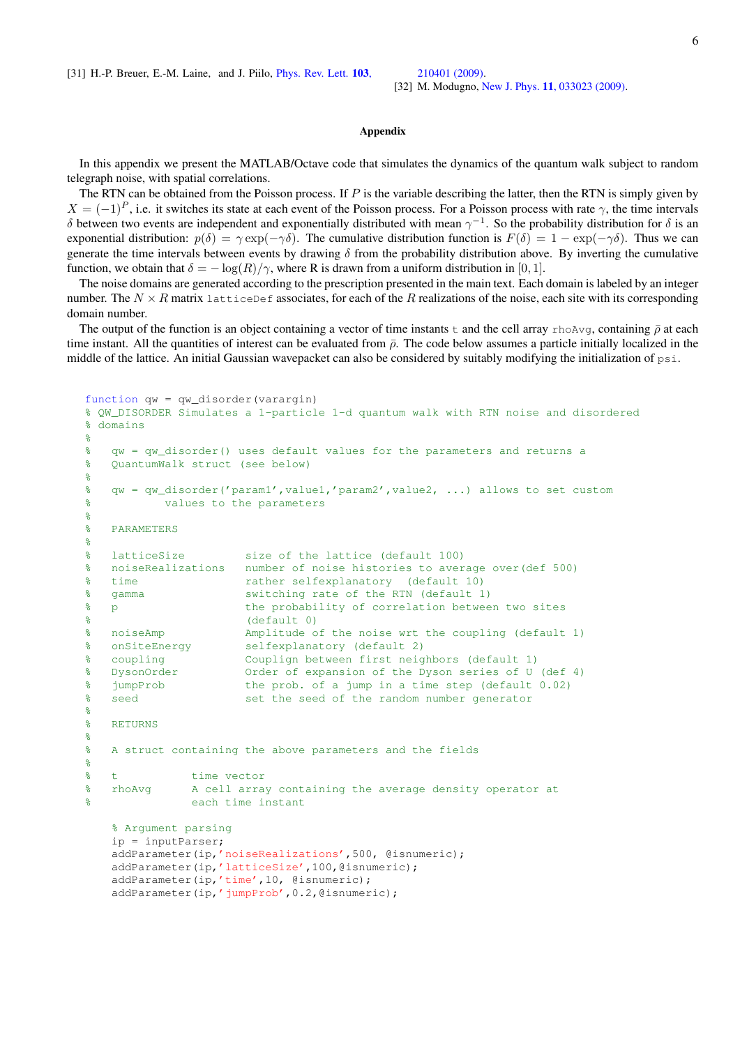<span id="page-5-0"></span>[31] H.-P. Breuer, E.-M. Laine, and J. Piilo, [Phys. Rev. Lett.](http://dx.doi.org/10.1103/PhysRevLett.103.210401) 103, [210401 \(2009\).](http://dx.doi.org/10.1103/PhysRevLett.103.210401)

<span id="page-5-1"></span>[32] M. Modugno, New J. Phys. **11**[, 033023 \(2009\).](http://dx.doi.org/10.1088/1367-2630/11/3/033023)

6

## Appendix

In this appendix we present the MATLAB/Octave code that simulates the dynamics of the quantum walk subject to random telegraph noise, with spatial correlations.

The RTN can be obtained from the Poisson process. If  $P$  is the variable describing the latter, then the RTN is simply given by  $X = (-1)^P$ , i.e. it switches its state at each event of the Poisson process. For a Poisson process with rate  $\gamma$ , the time intervals δ between two events are independent and exponentially distributed with mean  $\gamma^{-1}$ . So the probability distribution for δ is an exponential distribution:  $p(\delta) = \gamma \exp(-\gamma \delta)$ . The cumulative distribution function is  $F(\delta) = 1 - \exp(-\gamma \delta)$ . Thus we can generate the time intervals between events by drawing  $\delta$  from the probability distribution above. By inverting the cumulative function, we obtain that  $\delta = -\log(R)/\gamma$ , where R is drawn from a uniform distribution in [0, 1].

The noise domains are generated according to the prescription presented in the main text. Each domain is labeled by an integer number. The  $N \times R$  matrix latticeDef associates, for each of the R realizations of the noise, each site with its corresponding domain number.

The output of the function is an object containing a vector of time instants t and the cell array rhoAvg, containing  $\bar{\rho}$  at each time instant. All the quantities of interest can be evaluated from  $\bar{\rho}$ . The code below assumes a particle initially localized in the middle of the lattice. An initial Gaussian wavepacket can also be considered by suitably modifying the initialization of  $p\sin$ .

```
function qw = qw_disorder(varargin)
% QW_DISORDER Simulates a 1-particle 1-d quantum walk with RTN noise and disordered
% domains
%
% qw = qw_disorder() uses default values for the parameters and returns a
% QuantumWalk struct (see below)
\approx% qw = qw_disorder('param1',value1,'param2',value2, ...) allows to set custom
% values to the parameters
%
% PARAMETERS
\epsilon% latticeSize size of the lattice (default 100)
% noiseRealizations number of noise histories to average over(def 500)
% time rather selfexplanatory (default 10)
% gamma switching rate of the RTN (default 1)
% p the probability of correlation between two sites
% (default 0)
% noiseAmp Mmplitude of the noise wrt the coupling (default 1)<br>% onSiteEnergy selfexplanatory (default 2)
                    selfexplanatory (default 2)
% coupling Couplign between first neighbors (default 1)
% DysonOrder Order of expansion of the Dyson series of U (def 4)
% jumpProb the prob. of a jump in a time step (default 0.02)
% seed set the seed of the random number generator
%
% RETURNS
%
% A struct containing the above parameters and the fields
%
% t time vector
% rhoAvg A cell array containing the average density operator at
% each time instant
   % Argument parsing
   ip = inputParser;
   addParameter(ip,'noiseRealizations',500, @isnumeric);
   addParameter(ip,'latticeSize',100,@isnumeric);
```

```
addParameter(ip,'time',10, @isnumeric);
```
addParameter(ip,'jumpProb',0.2,@isnumeric);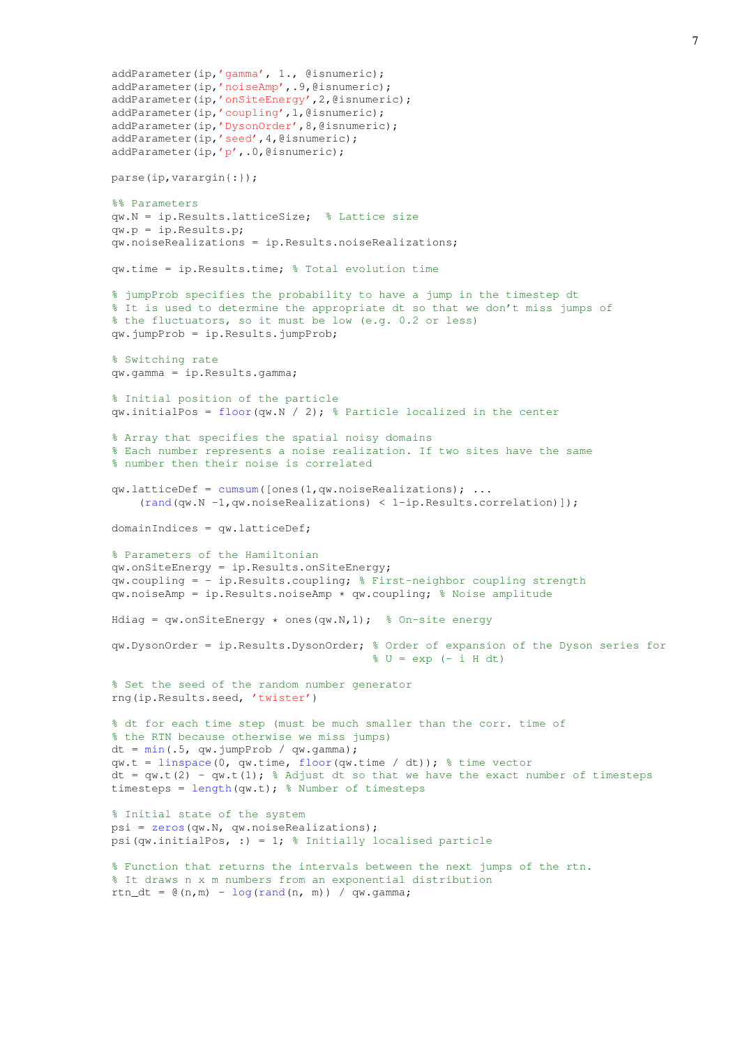```
addParameter(ip,'gamma', 1., @isnumeric);
addParameter(ip,'noiseAmp',.9,@isnumeric);
addParameter(ip,'onSiteEnergy',2,@isnumeric);
addParameter(ip,'coupling',1,@isnumeric);
addParameter(ip,'DysonOrder', 8, @isnumeric);
addParameter(ip,'seed',4,@isnumeric);
addParameter(ip,'p',.0,@isnumeric);
parse(ip,varargin{:});
%% Parameters
qw.N = ip.Results.latticeSize; % Lattice size
qw.p = ip.Results.p;
qw.noiseRealizations = ip.Results.noiseRealizations;
qw.time = ip.Results.time; % Total evolution time
% jumpProb specifies the probability to have a jump in the timestep dt
% It is used to determine the appropriate dt so that we don't miss jumps of
% the fluctuators, so it must be low (e.g. 0.2 or less)
qw.jumpProb = ip.Results.jumpProb;
% Switching rate
qw.gamma = ip.Results.gamma;
% Initial position of the particle
qw.initialPos = floor(qw.N / 2); % Particle localized in the center
% Array that specifies the spatial noisy domains
% Each number represents a noise realization. If two sites have the same
% number then their noise is correlated
qw.latticeDef = cumsum([ones(1,qw.noiseRealizations); ...(rand(qw.N -1,qw.noiseRealizations) < 1-ip.Results.correlation)]);
domainIndices = qw.latticeDef;
% Parameters of the Hamiltonian
qw.onSiteEnergy = ip.Results.onSiteEnergy;
qw.coupling = - ip.Results.coupling; % First-neighbor coupling strength
qw.noiseAmp = ip.Results.noiseAmp * qw.coupling; % Noise amplitude
Hdiag = qw.onSiteEnergy * ones(qw.N,1); % On-site energy
qw.DysonOrder = ip.Results.DysonOrder; % Order of expansion of the Dyson series for
                                       % U = exp (- i H dt)
% Set the seed of the random number generator
rng(ip.Results.seed, 'twister')
% dt for each time step (must be much smaller than the corr. time of
% the RTN because otherwise we miss jumps)
dt = min(.5, gw.iumpProb / gw.gamma)qw.t = linspace(0, qw.time, floor(qw.time / dt)); % time vector
dt = qw.t(2) - qw.t(1); % Adjust dt so that we have the exact number of timesteps
timesteps = length(qw.t); % Number of timesteps
% Initial state of the system
psi = zeros(qw.N, qw.noiseRealizations);
psi(qw.initialPos, :) = 1; \frac{1}{2} Initially localised particle
% Function that returns the intervals between the next jumps of the rtn.
% It draws n x m numbers from an exponential distribution
rtn dt = \theta(n,m) - log(rand(n, m)) / qw.gamma;
```

```
7
```